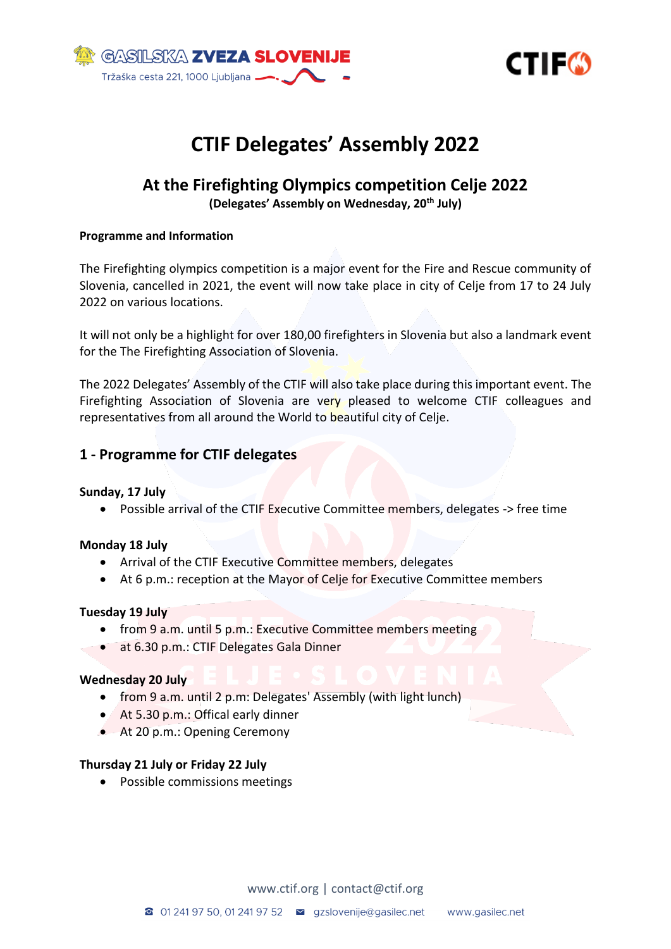



# **CTIF Delegates' Assembly 2022**

# **At the Firefighting Olympics competition Celje 2022 (Delegates' Assembly on Wednesday, 20th July)**

#### **Programme and Information**

The Firefighting olympics competition is a major event for the Fire and Rescue community of Slovenia, cancelled in 2021, the event will now take place in city of Celje from 17 to 24 July 2022 on various locations.

It will not only be a highlight for over 180,00 firefighters in Slovenia but also a landmark event for the The Firefighting Association of Slovenia.

The 2022 Delegates' Assembly of the CTIF will also take place during this important event. The Firefighting Association of Slovenia are very pleased to welcome CTIF colleagues and representatives from all around the World to beautiful city of Celje.

#### **1 - Programme for CTIF delegates**

#### **Sunday, 17 July**

• Possible arrival of the CTIF Executive Committee members, delegates -> free time

#### **Monday 18 July**

- Arrival of the CTIF Executive Committee members, delegates
- At 6 p.m.: reception at the Mayor of Celje for Executive Committee members

#### **Tuesday 19 July**

- from 9 a.m. until 5 p.m.: Executive Committee members meeting
- at 6.30 p.m.: CTIF Delegates Gala Dinner

#### **Wednesday 20 July**

- from 9 a.m. until 2 p.m: Delegates' Assembly (with light lunch)
- At 5.30 p.m.: Offical early dinner
- At 20 p.m.: Opening Ceremony

#### **Thursday 21 July or Friday 22 July**

• Possible commissions meetings

[www.ctif.org](http://www.ctif.org/) | [contact@ctif.org](mailto:contact@ctif.org)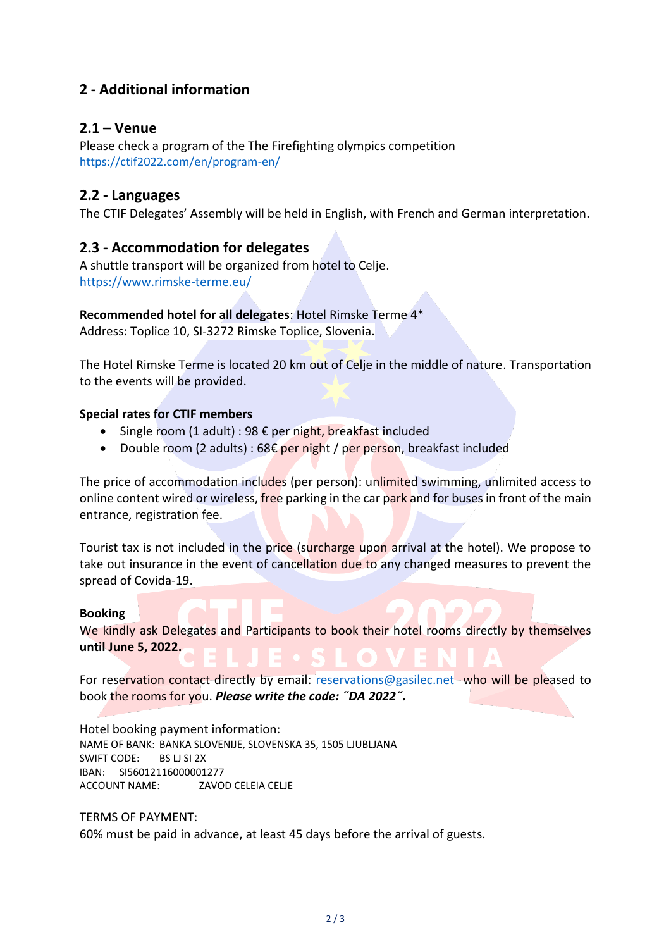# **2 - Additional information**

## **2.1 – Venue**

Please check a program of the The Firefighting olympics competition <https://ctif2022.com/en/program-en/>

#### **2.2 - Languages**

The CTIF Delegates' Assembly will be held in English, with French and German interpretation.

## **2.3 - Accommodation for delegates**

A shuttle transport will be organized from hotel to Celje. <https://www.rimske-terme.eu/>

#### **Recommended hotel for all delegates**: Hotel Rimske Terme 4\*

Address: Toplice 10, SI-3272 Rimske Toplice, Slovenia.

The Hotel Rimske Terme is located 20 km out of Celje in the middle of nature. Transportation to the events will be provided.

#### **Special rates for CTIF members**

- Single room  $(1$  adult) : 98  $\epsilon$  per night, breakfast included
- Double room (2 adults) :  $68 \epsilon$  per night / per person, breakfast included

The price of accommodation includes (per person): unlimited swimming, unlimited access to online content wired or wireless, free parking in the car park and for buses in front of the main entrance, registration fee.

Tourist tax is not included in the price (surcharge upon arrival at the hotel). We propose to take out insurance in the event of cancellation due to any changed measures to prevent the spread of Covida-19.

#### **Booking**

We kindly ask Delegates and Participants to book their hotel rooms directly by themselves **until June 5, 2022.**

For reservation contact directly by email: [reservations@gasilec.net](https://ctif2022.com/prenocitve/reservations@gasilec.net) who will be pleased to book the rooms for you. *Please write the code: ˝DA 2022˝.*

Hotel booking payment information: NAME OF BANK: BANKA SLOVENIJE, SLOVENSKA 35, 1505 LJUBLJANA SWIFT CODE: BS LJ SI 2X IBAN: SI56012116000001277 ACCOUNT NAME: ZAVOD CELEIA CELJE

#### TERMS OF PAYMENT:

60% must be paid in advance, at least 45 days before the arrival of guests.